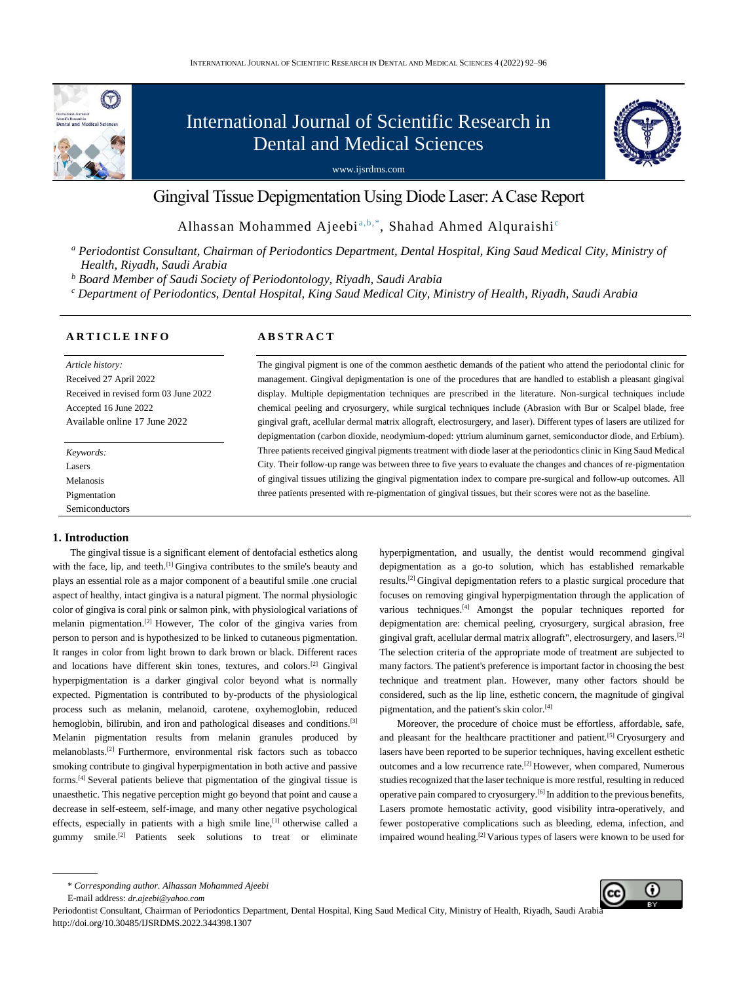

# International Journal of Scientific Research in Dental and Medical Sciences

www.ijsrdms.com



# Gingival Tissue Depigmentation Using Diode Laser: A Case Report

Alhassan Mohammed Ajeebi<sup>a,b,\*</sup>, Shahad Ahmed Alquraishi<sup>c</sup>

*<sup>a</sup> Periodontist Consultant, Chairman of Periodontics Department, Dental Hospital, King Saud Medical City, Ministry of Health, Riyadh, Saudi Arabia* 

*<sup>b</sup> Board Member of Saudi Society of Periodontology, Riyadh, Saudi Arabia*

*<sup>c</sup> Department of Periodontics, Dental Hospital, King Saud Medical City, Ministry of Health, Riyadh, Saudi Arabia*

#### **A R T I C L E I N F O**

*Article history:* Received 27 April 2022 Received in revised form 03 June 2022 Accepted 16 June 2022 Available online 17 June 2022

*Keywords:* Lasers Melanosis Pigmentation Semiconductors

# **1. Introduction**

The gingival tissue is a significant element of dentofacial esthetics along with the face, lip, and teeth.<sup>[1]</sup> Gingiva contributes to the smile's beauty and plays an essential role as a major component of a beautiful smile .one crucial aspect of healthy, intact gingiva is a natural pigment. The normal physiologic color of gingiva is coral pink or salmon pink, with physiological variations of melanin pigmentation.<sup>[2]</sup> However, The color of the gingiva varies from person to person and is hypothesized to be linked to cutaneous pigmentation. It ranges in color from light brown to dark brown or black. Different races and locations have different skin tones, textures, and colors.[2] Gingival hyperpigmentation is a darker gingival color beyond what is normally expected. Pigmentation is contributed to by-products of the physiological process such as melanin, melanoid, carotene, oxyhemoglobin, reduced hemoglobin, bilirubin, and iron and pathological diseases and conditions.<sup>[3]</sup> Melanin pigmentation results from melanin granules produced by melanoblasts.[2] Furthermore, environmental risk factors such as tobacco smoking contribute to gingival hyperpigmentation in both active and passive forms.[4] Several patients believe that pigmentation of the gingival tissue is unaesthetic. This negative perception might go beyond that point and cause a decrease in self-esteem, self-image, and many other negative psychological effects, especially in patients with a high smile line,[1] otherwise called a gummy smile.[2] Patients seek solutions to treat or eliminate

## **A B S T R A C T**

The gingival pigment is one of the common aesthetic demands of the patient who attend the periodontal clinic for management. Gingival depigmentation is one of the procedures that are handled to establish a pleasant gingival display. Multiple depigmentation techniques are prescribed in the literature. Non-surgical techniques include chemical peeling and cryosurgery, while surgical techniques include (Abrasion with Bur or Scalpel blade, free gingival graft, acellular dermal matrix allograft, electrosurgery, and laser). Different types of lasers are utilized for depigmentation (carbon dioxide, neodymium-doped: yttrium aluminum garnet, semiconductor diode, and Erbium). Three patients received gingival pigments treatment with diode laser at the periodontics clinic in King Saud Medical City. Their follow-up range was between three to five years to evaluate the changes and chances of re-pigmentation of gingival tissues utilizing the gingival pigmentation index to compare pre-surgical and follow-up outcomes. All three patients presented with re-pigmentation of gingival tissues, but their scores were not as the baseline.

> hyperpigmentation, and usually, the dentist would recommend gingival depigmentation as a go-to solution, which has established remarkable results.[2] Gingival depigmentation refers to a plastic surgical procedure that focuses on removing gingival hyperpigmentation through the application of various techniques.[4] Amongst the popular techniques reported for depigmentation are: chemical peeling, cryosurgery, surgical abrasion, free gingival graft, acellular dermal matrix allograft", electrosurgery, and lasers.[2] The selection criteria of the appropriate mode of treatment are subjected to many factors. The patient's preference is important factor in choosing the best technique and treatment plan. However, many other factors should be considered, such as the lip line, esthetic concern, the magnitude of gingival pigmentation, and the patient's skin color.<sup>[4]</sup>

> Moreover, the procedure of choice must be effortless, affordable, safe, and pleasant for the healthcare practitioner and patient.<sup>[5]</sup> Cryosurgery and lasers have been reported to be superior techniques, having excellent esthetic outcomes and a low recurrence rate.[2] However, when compared, Numerous studies recognized that the laser technique is more restful, resulting in reduced operative pain compared to cryosurgery.[6] In addition to the previous benefits, Lasers promote hemostatic activity, good visibility intra-operatively, and fewer postoperative complications such as bleeding, edema, infection, and impaired wound healing.<sup>[2]</sup> Various types of lasers were known to be used for

Periodontist Consultant, Chairman of Periodontics Department, Dental Hospital, King Saud Medical City, Ministry of Health, Riyadh, Saudi Arabi http://doi.org/10.30485/IJSRDMS.2022.344398.1307



<sup>\*</sup> *Corresponding author. Alhassan Mohammed Ajeebi*

E-mail address: *[dr.ajeebi@yahoo.com](mailto:dr.ajeebi@yahoo.com)*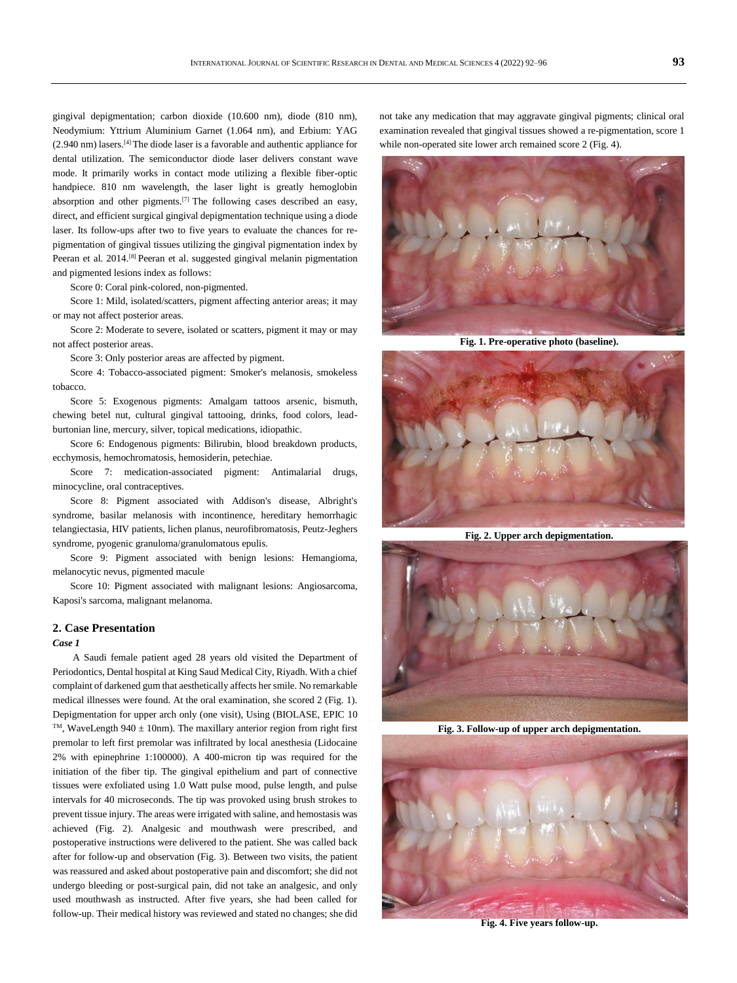gingival depigmentation; carbon dioxide (10.600 nm), diode (810 nm), Neodymium: Yttrium Aluminium Garnet (1.064 nm), and Erbium: YAG  $(2.940 \text{ nm})$  lasers.<sup>[4]</sup> The diode laser is a favorable and authentic appliance for dental utilization. The semiconductor diode laser delivers constant wave mode. It primarily works in contact mode utilizing a flexible fiber-optic handpiece. 810 nm wavelength, the laser light is greatly hemoglobin absorption and other pigments.[7] The following cases described an easy, direct, and efficient surgical gingival depigmentation technique using a diode laser. Its follow-ups after two to five years to evaluate the chances for repigmentation of gingival tissues utilizing the gingival pigmentation index by Peeran et al. 2014.[8] Peeran et al. suggested gingival melanin pigmentation and pigmented lesions index as follows:

Score 0: Coral pink-colored, non-pigmented.

Score 1: Mild, isolated/scatters, pigment affecting anterior areas; it may or may not affect posterior areas.

Score 2: Moderate to severe, isolated or scatters, pigment it may or may not affect posterior areas.

Score 3: Only posterior areas are affected by pigment.

Score 4: Tobacco-associated pigment: Smoker's melanosis, smokeless tobacco.

Score 5: Exogenous pigments: Amalgam tattoos arsenic, bismuth, chewing betel nut, cultural gingival tattooing, drinks, food colors, leadburtonian line, mercury, silver, topical medications, idiopathic.

Score 6: Endogenous pigments: Bilirubin, blood breakdown products, ecchymosis, hemochromatosis, hemosiderin, petechiae.

Score 7: medication-associated pigment: Antimalarial drugs, minocycline, oral contraceptives.

Score 8: Pigment associated with Addison's disease, Albright's syndrome, basilar melanosis with incontinence, hereditary hemorrhagic telangiectasia, HIV patients, lichen planus, neurofibromatosis, Peutz-Jeghers syndrome, pyogenic granuloma/granulomatous epulis.

Score 9: Pigment associated with benign lesions: Hemangioma, melanocytic nevus, pigmented macule

Score 10: Pigment associated with malignant lesions: Angiosarcoma, Kaposi's sarcoma, malignant melanoma.

#### **2. Case Presentation**

#### *Case 1*

A Saudi female patient aged 28 years old visited the Department of Periodontics, Dental hospital at King Saud Medical City, Riyadh. With a chief complaint of darkened gum that aesthetically affects her smile. No remarkable medical illnesses were found. At the oral examination, she scored 2 (Fig. 1). Depigmentation for upper arch only (one visit), Using (BIOLASE, EPIC 10 <sup>TM</sup>, WaveLength 940  $\pm$  10nm). The maxillary anterior region from right first premolar to left first premolar was infiltrated by local anesthesia (Lidocaine 2% with epinephrine 1:100000). A 400-micron tip was required for the initiation of the fiber tip. The gingival epithelium and part of connective tissues were exfoliated using 1.0 Watt pulse mood, pulse length, and pulse intervals for 40 microseconds. The tip was provoked using brush strokes to prevent tissue injury. The areas were irrigated with saline, and hemostasis was achieved (Fig. 2). Analgesic and mouthwash were prescribed, and postoperative instructions were delivered to the patient. She was called back after for follow-up and observation (Fig. 3). Between two visits, the patient was reassured and asked about postoperative pain and discomfort; she did not undergo bleeding or post-surgical pain, did not take an analgesic, and only used mouthwash as instructed. After five years, she had been called for follow-up. Their medical history was reviewed and stated no changes; she did

not take any medication that may aggravate gingival pigments; clinical oral examination revealed that gingival tissues showed a re-pigmentation, score 1 while non-operated site lower arch remained score 2 (Fig. 4).



**Fig. 1. Pre-operative photo (baseline).**



**Fig. 2. Upper arch depigmentation.**



**Fig. 3. Follow-up of upper arch depigmentation.**



**Fig. 4. Five years follow-up.**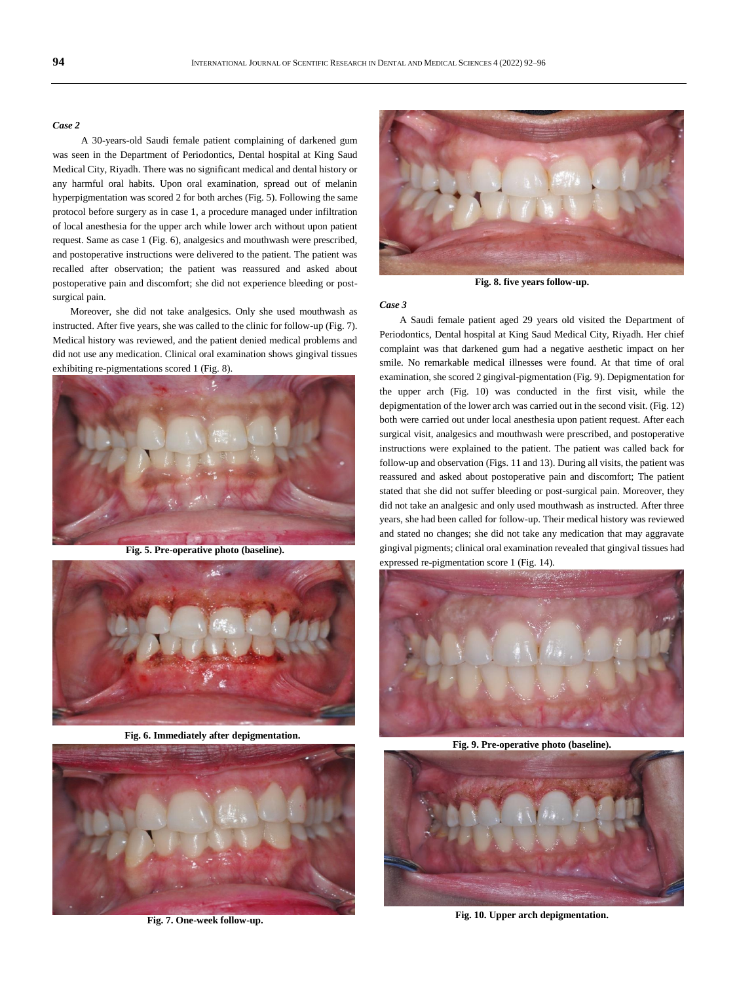## *Case 2*

 A 30-years-old Saudi female patient complaining of darkened gum was seen in the Department of Periodontics, Dental hospital at King Saud Medical City, Riyadh. There was no significant medical and dental history or any harmful oral habits. Upon oral examination, spread out of melanin hyperpigmentation was scored 2 for both arches (Fig. 5). Following the same protocol before surgery as in case 1, a procedure managed under infiltration of local anesthesia for the upper arch while lower arch without upon patient request. Same as case 1 (Fig. 6), analgesics and mouthwash were prescribed, and postoperative instructions were delivered to the patient. The patient was recalled after observation; the patient was reassured and asked about postoperative pain and discomfort; she did not experience bleeding or postsurgical pain.

Moreover, she did not take analgesics. Only she used mouthwash as instructed. After five years, she was called to the clinic for follow-up (Fig. 7). Medical history was reviewed, and the patient denied medical problems and did not use any medication. Clinical oral examination shows gingival tissues exhibiting re-pigmentations scored 1 (Fig. 8).



**Fig. 5. Pre-operative photo (baseline).**



**Fig. 6. Immediately after depigmentation.**



**Fig. 7. One-week follow-up.**



**Fig. 8. five years follow-up.**

#### *Case 3*

A Saudi female patient aged 29 years old visited the Department of Periodontics, Dental hospital at King Saud Medical City, Riyadh. Her chief complaint was that darkened gum had a negative aesthetic impact on her smile. No remarkable medical illnesses were found. At that time of oral examination, she scored 2 gingival-pigmentation (Fig. 9). Depigmentation for the upper arch (Fig. 10) was conducted in the first visit, while the depigmentation of the lower arch was carried out in the second visit. (Fig. 12) both were carried out under local anesthesia upon patient request. After each surgical visit, analgesics and mouthwash were prescribed, and postoperative instructions were explained to the patient. The patient was called back for follow-up and observation (Figs. 11 and 13). During all visits, the patient was reassured and asked about postoperative pain and discomfort; The patient stated that she did not suffer bleeding or post-surgical pain. Moreover, they did not take an analgesic and only used mouthwash as instructed. After three years, she had been called for follow-up. Their medical history was reviewed and stated no changes; she did not take any medication that may aggravate gingival pigments; clinical oral examination revealed that gingival tissues had expressed re-pigmentation score 1 (Fig. 14).



**Fig. 9. Pre-operative photo (baseline).**



**Fig. 10. Upper arch depigmentation.**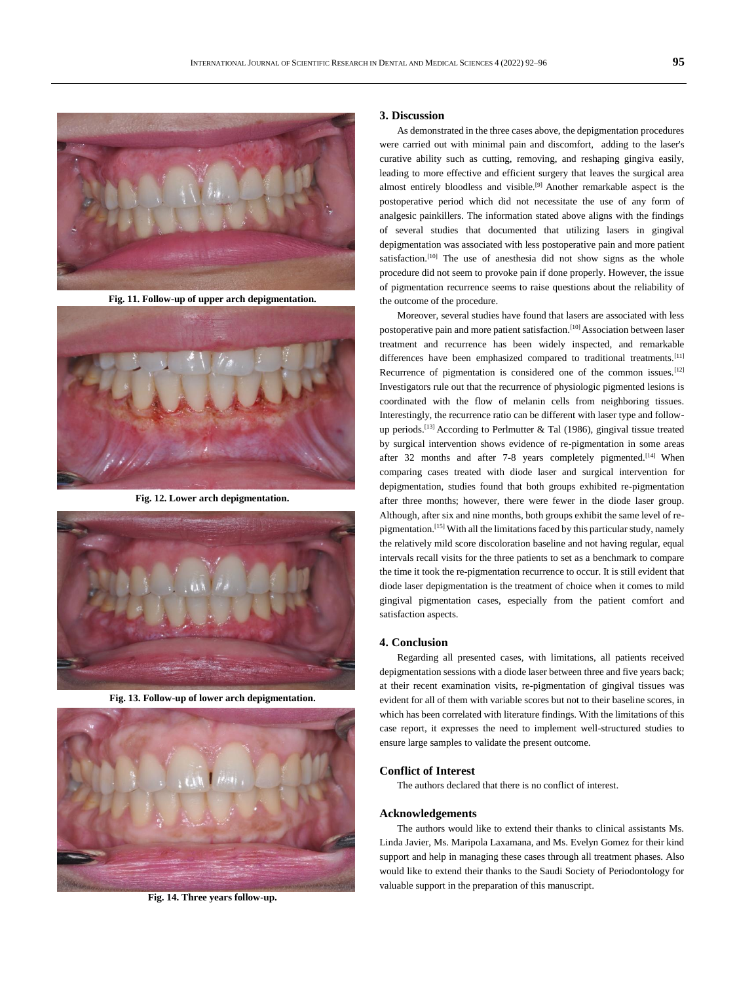

**Fig. 11. Follow-up of upper arch depigmentation.**



**Fig. 12. Lower arch depigmentation.**



**Fig. 13. Follow-up of lower arch depigmentation.**



**Fig. 14. Three years follow-up.**

#### **3. Discussion**

As demonstrated in the three cases above, the depigmentation procedures were carried out with minimal pain and discomfort, adding to the laser's curative ability such as cutting, removing, and reshaping gingiva easily, leading to more effective and efficient surgery that leaves the surgical area almost entirely bloodless and visible.[9] Another remarkable aspect is the postoperative period which did not necessitate the use of any form of analgesic painkillers. The information stated above aligns with the findings of several studies that documented that utilizing lasers in gingival depigmentation was associated with less postoperative pain and more patient satisfaction.<sup>[10]</sup> The use of anesthesia did not show signs as the whole procedure did not seem to provoke pain if done properly. However, the issue of pigmentation recurrence seems to raise questions about the reliability of the outcome of the procedure.

Moreover, several studies have found that lasers are associated with less postoperative pain and more patient satisfaction.[10] Association between laser treatment and recurrence has been widely inspected, and remarkable differences have been emphasized compared to traditional treatments.[11] Recurrence of pigmentation is considered one of the common issues.<sup>[12]</sup> Investigators rule out that the recurrence of physiologic pigmented lesions is coordinated with the flow of melanin cells from neighboring tissues. Interestingly, the recurrence ratio can be different with laser type and followup periods.<sup>[13]</sup> According to Perlmutter & Tal (1986), gingival tissue treated by surgical intervention shows evidence of re-pigmentation in some areas after 32 months and after 7-8 years completely pigmented.<sup>[14]</sup> When comparing cases treated with diode laser and surgical intervention for depigmentation, studies found that both groups exhibited re-pigmentation after three months; however, there were fewer in the diode laser group. Although, after six and nine months, both groups exhibit the same level of repigmentation.[15] With all the limitations faced by this particular study, namely the relatively mild score discoloration baseline and not having regular, equal intervals recall visits for the three patients to set as a benchmark to compare the time it took the re-pigmentation recurrence to occur. It is still evident that diode laser depigmentation is the treatment of choice when it comes to mild gingival pigmentation cases, especially from the patient comfort and satisfaction aspects.

# **4. Conclusion**

Regarding all presented cases, with limitations, all patients received depigmentation sessions with a diode laser between three and five years back; at their recent examination visits, re-pigmentation of gingival tissues was evident for all of them with variable scores but not to their baseline scores, in which has been correlated with literature findings. With the limitations of this case report, it expresses the need to implement well-structured studies to ensure large samples to validate the present outcome.

#### **Conflict of Interest**

The authors declared that there is no conflict of interest.

#### **Acknowledgements**

The authors would like to extend their thanks to clinical assistants Ms. Linda Javier, Ms. Maripola Laxamana, and Ms. Evelyn Gomez for their kind support and help in managing these cases through all treatment phases. Also would like to extend their thanks to the Saudi Society of Periodontology for valuable support in the preparation of this manuscript.